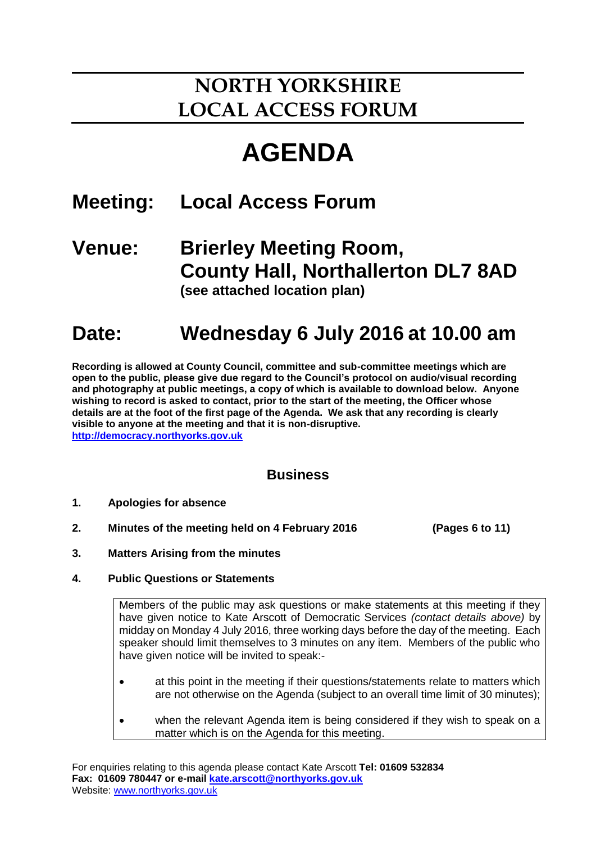# **NORTH YORKSHIRE LOCAL ACCESS FORUM**

# **AGENDA**

## **Meeting: Local Access Forum**

### **Venue: Brierley Meeting Room, County Hall, Northallerton DL7 8AD (see attached location plan)**

# **Date: Wednesday 6 July 2016 at 10.00 am**

**Recording is allowed at County Council, committee and sub-committee meetings which are open to the public, please give due regard to the Council's protocol on audio/visual recording and photography at public meetings, a copy of which is available to download below. Anyone wishing to record is asked to contact, prior to the start of the meeting, the Officer whose details are at the foot of the first page of the Agenda. We ask that any recording is clearly visible to anyone at the meeting and that it is non-disruptive. [http://democracy.northyorks.gov.uk](http://democracy.northyorks.gov.uk/)**

### **Business**

- **1. Apologies for absence**
- **2. Minutes of the meeting held on 4 February 2016 (Pages 6 to 11)**

- **3. Matters Arising from the minutes**
- **4. Public Questions or Statements**

Members of the public may ask questions or make statements at this meeting if they have given notice to Kate Arscott of Democratic Services *(contact details above)* by midday on Monday 4 July 2016, three working days before the day of the meeting. Each speaker should limit themselves to 3 minutes on any item. Members of the public who have given notice will be invited to speak:-

- at this point in the meeting if their questions/statements relate to matters which are not otherwise on the Agenda (subject to an overall time limit of 30 minutes);
- when the relevant Agenda item is being considered if they wish to speak on a matter which is on the Agenda for this meeting.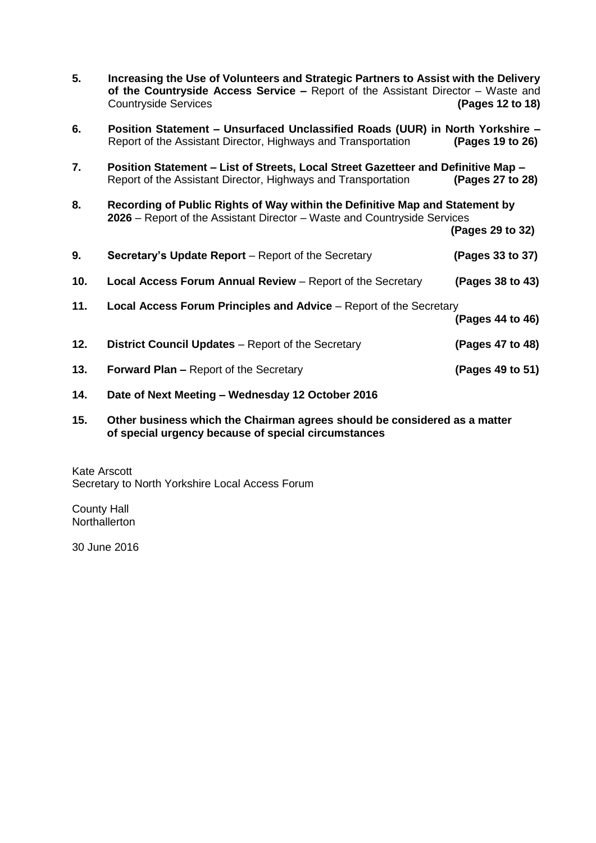| 5.  | Increasing the Use of Volunteers and Strategic Partners to Assist with the Delivery<br>of the Countryside Access Service $-$ Report of the Assistant Director $-$ Waste and<br><b>Countryside Services</b> | (Pages 12 to 18) |
|-----|------------------------------------------------------------------------------------------------------------------------------------------------------------------------------------------------------------|------------------|
| 6.  | Position Statement - Unsurfaced Unclassified Roads (UUR) in North Yorkshire -<br>Report of the Assistant Director, Highways and Transportation                                                             | (Pages 19 to 26) |
| 7.  | Position Statement - List of Streets, Local Street Gazetteer and Definitive Map -<br>Report of the Assistant Director, Highways and Transportation                                                         | (Pages 27 to 28) |
| 8.  | Recording of Public Rights of Way within the Definitive Map and Statement by<br>2026 – Report of the Assistant Director – Waste and Countryside Services                                                   | (Pages 29 to 32) |
| 9.  | <b>Secretary's Update Report</b> – Report of the Secretary                                                                                                                                                 | (Pages 33 to 37) |
| 10. | <b>Local Access Forum Annual Review</b> – Report of the Secretary                                                                                                                                          | (Pages 38 to 43) |
| 11. | <b>Local Access Forum Principles and Advice</b> – Report of the Secretary                                                                                                                                  | (Pages 44 to 46) |
| 12. | <b>District Council Updates - Report of the Secretary</b>                                                                                                                                                  | (Pages 47 to 48) |
| 13. | <b>Forward Plan – Report of the Secretary</b>                                                                                                                                                              | (Pages 49 to 51) |
| 14. | Date of Next Meeting - Wednesday 12 October 2016                                                                                                                                                           |                  |

**15. Other business which the Chairman agrees should be considered as a matter of special urgency because of special circumstances**

Kate Arscott Secretary to North Yorkshire Local Access Forum

County Hall **Northallerton** 

30 June 2016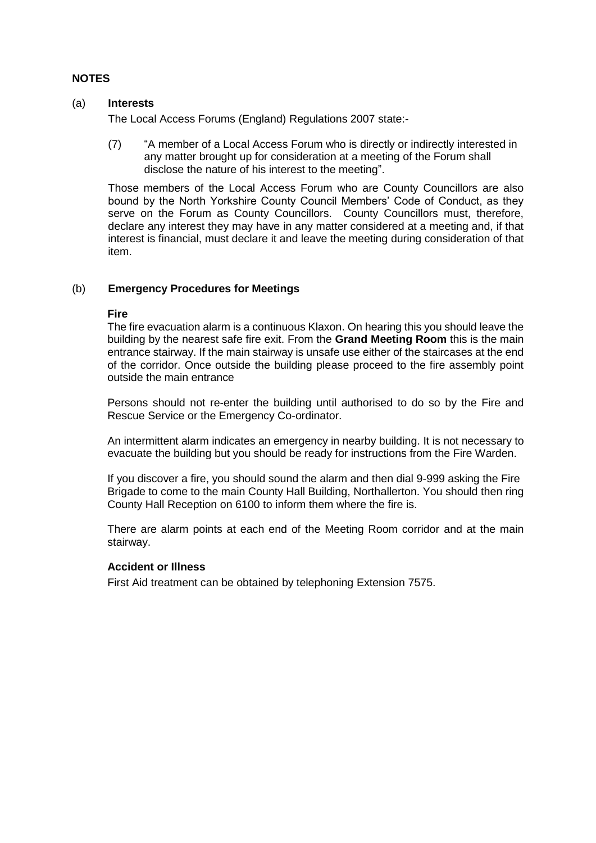#### **NOTES**

#### (a) **Interests**

The Local Access Forums (England) Regulations 2007 state:-

(7) "A member of a Local Access Forum who is directly or indirectly interested in any matter brought up for consideration at a meeting of the Forum shall disclose the nature of his interest to the meeting".

Those members of the Local Access Forum who are County Councillors are also bound by the North Yorkshire County Council Members' Code of Conduct, as they serve on the Forum as County Councillors. County Councillors must, therefore, declare any interest they may have in any matter considered at a meeting and, if that interest is financial, must declare it and leave the meeting during consideration of that item.

#### (b) **Emergency Procedures for Meetings**

#### **Fire**

The fire evacuation alarm is a continuous Klaxon. On hearing this you should leave the building by the nearest safe fire exit. From the **Grand Meeting Room** this is the main entrance stairway. If the main stairway is unsafe use either of the staircases at the end of the corridor. Once outside the building please proceed to the fire assembly point outside the main entrance

Persons should not re-enter the building until authorised to do so by the Fire and Rescue Service or the Emergency Co-ordinator.

An intermittent alarm indicates an emergency in nearby building. It is not necessary to evacuate the building but you should be ready for instructions from the Fire Warden.

If you discover a fire, you should sound the alarm and then dial 9-999 asking the Fire Brigade to come to the main County Hall Building, Northallerton. You should then ring County Hall Reception on 6100 to inform them where the fire is.

There are alarm points at each end of the Meeting Room corridor and at the main stairway.

#### **Accident or Illness**

First Aid treatment can be obtained by telephoning Extension 7575.